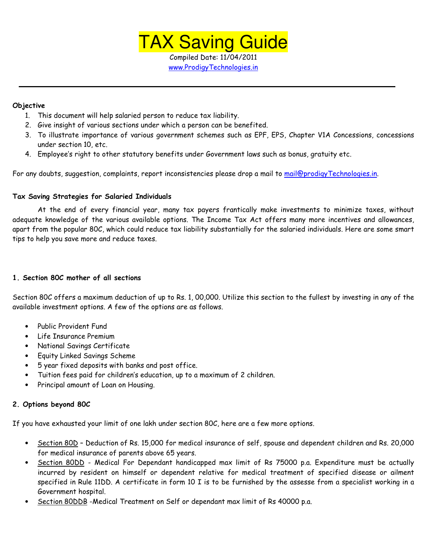

Compiled Date: 11/04/2011 www.ProdigyTechnologies.in

## Objective

- 1. This document will help salaried person to reduce tax liability.
- 2. Give insight of various sections under which a person can be benefited.
- 3. To illustrate importance of various government schemes such as EPF, EPS, Chapter V1A Concessions, concessions under section 10, etc.
- 4. Employee's right to other statutory benefits under Government laws such as bonus, gratuity etc.

For any doubts, suggestion, complaints, report inconsistencies please drop a mail to mail@prodigyTechnologies.in.

## Tax Saving Strategies for Salaried Individuals

 At the end of every financial year, many tax payers frantically make investments to minimize taxes, without adequate knowledge of the various available options. The Income Tax Act offers many more incentives and allowances, apart from the popular 80C, which could reduce tax liability substantially for the salaried individuals. Here are some smart tips to help you save more and reduce taxes.

## 1. Section 80C mother of all sections

Section 80C offers a maximum deduction of up to Rs. 1, 00,000. Utilize this section to the fullest by investing in any of the available investment options. A few of the options are as follows.

- Public Provident Fund
- Life Insurance Premium
- National Savings Certificate
- Equity Linked Savings Scheme
- 5 year fixed deposits with banks and post office.
- Tuition fees paid for children's education, up to a maximum of 2 children.
- Principal amount of Loan on Housing.

## 2. Options beyond 80C

If you have exhausted your limit of one lakh under section 80C, here are a few more options.

- Section 80D Deduction of Rs. 15,000 for medical insurance of self, spouse and dependent children and Rs. 20,000 for medical insurance of parents above 65 years.
- Section 80DD Medical For Dependant handicapped max limit of Rs 75000 p.a. Expenditure must be actually incurred by resident on himself or dependent relative for medical treatment of specified disease or ailment specified in Rule 11DD. A certificate in form 10 I is to be furnished by the assesse from a specialist working in a Government hospital.
- Section 80DDB -Medical Treatment on Self or dependant max limit of Rs 40000 p.a.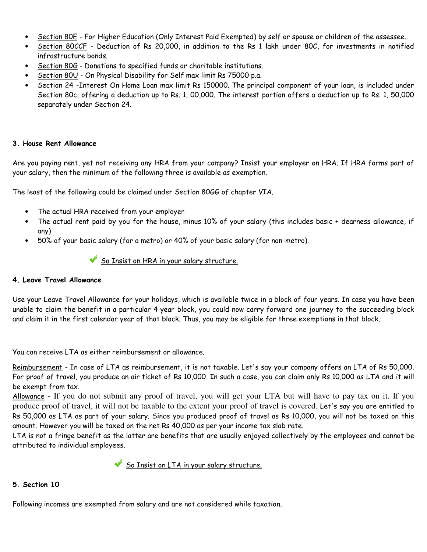- Section 80E For Higher Education (Only Interest Paid Exempted) by self or spouse or children of the assessee.
- Section 80CCF Deduction of Rs 20,000, in addition to the Rs 1 lakh under 80C, for investments in notified infrastructure bonds.
- Section 80G Donations to specified funds or charitable institutions.
- Section 80U On Physical Disability for Self max limit Rs 75000 p.a.
- Section 24 -Interest On Home Loan max limit Rs 150000. The principal component of your loan, is included under Section 80c, offering a deduction up to Rs. 1, 00,000. The interest portion offers a deduction up to Rs. 1, 50,000 separately under Section 24.

## 3. House Rent Allowance

Are you paying rent, yet not receiving any HRA from your company? Insist your employer on HRA. If HRA forms part of your salary, then the minimum of the following three is available as exemption.

The least of the following could be claimed under Section 80GG of chapter VIA.

- The actual HRA received from your employer
- The actual rent paid by you for the house, minus 10% of your salary (this includes basic + dearness allowance, if any)
- 50% of your basic salary (for a metro) or 40% of your basic salary (for non-metro).

# So Insist on HRA in your salary structure.

# 4. Leave Travel Allowance

Use your Leave Travel Allowance for your holidays, which is available twice in a block of four years. In case you have been unable to claim the benefit in a particular 4 year block, you could now carry forward one journey to the succeeding block and claim it in the first calendar year of that block. Thus, you may be eligible for three exemptions in that block.

You can receive LTA as either reimbursement or allowance.

Reimbursement - In case of LTA as reimbursement, it is not taxable. Let's say your company offers an LTA of Rs 50,000. For proof of travel, you produce an air ticket of Rs 10,000. In such a case, you can claim only Rs 10,000 as LTA and it will be exempt from tax.

Allowance - If you do not submit any proof of travel, you will get your LTA but will have to pay tax on it. If you produce proof of travel, it will not be taxable to the extent your proof of travel is covered. Let's say you are entitled to Rs 50,000 as LTA as part of your salary. Since you produced proof of travel as Rs 10,000, you will not be taxed on this amount. However you will be taxed on the net Rs 40,000 as per your income tax slab rate.

LTA is not a fringe benefit as the latter are benefits that are usually enjoyed collectively by the employees and cannot be attributed to individual employees.

So Insist on LTA in your salary structure.

# 5. Section 10

Following incomes are exempted from salary and are not considered while taxation.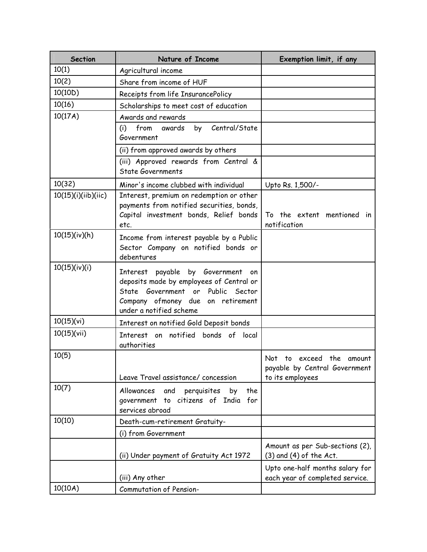| <b>Section</b>      | Nature of Income                                                                                                                                                                   | Exemption limit, if any                                                       |
|---------------------|------------------------------------------------------------------------------------------------------------------------------------------------------------------------------------|-------------------------------------------------------------------------------|
| 10(1)               | Agricultural income                                                                                                                                                                |                                                                               |
| 10(2)               | Share from income of HUF                                                                                                                                                           |                                                                               |
| 10(10D)             | Receipts from life InsurancePolicy                                                                                                                                                 |                                                                               |
| 10(16)              | Scholarships to meet cost of education                                                                                                                                             |                                                                               |
| 10(17A)             | Awards and rewards                                                                                                                                                                 |                                                                               |
|                     | Central/State<br>from<br>(i)<br>awards<br>by<br>Government                                                                                                                         |                                                                               |
|                     | (ii) from approved awards by others                                                                                                                                                |                                                                               |
|                     | (iii) Approved rewards from Central &<br><b>State Governments</b>                                                                                                                  |                                                                               |
| 10(32)              | Minor's income clubbed with individual                                                                                                                                             | Upto Rs. 1,500/-                                                              |
| 10(15)(i)(iib)(iic) | Interest, premium on redemption or other<br>payments from notified securities, bonds,<br>Capital investment bonds, Relief bonds<br>etc.                                            | To the extent mentioned in<br>notification                                    |
| 10(15)(iv)(h)       | Income from interest payable by a Public<br>Sector Company on notified bonds or<br>debentures                                                                                      |                                                                               |
| 10(15)(iv)(i)       | Interest payable by Government on<br>deposits made by employees of Central or<br>State Government or Public Sector<br>Company ofmoney due on retirement<br>under a notified scheme |                                                                               |
| 10(15)(vi)          | Interest on notified Gold Deposit bonds                                                                                                                                            |                                                                               |
| 10(15)(vii)         | Interest on notified bonds of local<br>authorities                                                                                                                                 |                                                                               |
| 10(5)               | Leave Travel assistance/ concession                                                                                                                                                | Not to exceed the amount<br>payable by Central Government<br>to its employees |
| 10(7)               | the<br>Allowances<br>and<br>perquisites<br>by<br>to citizens of India for<br>government<br>services abroad                                                                         |                                                                               |
| 10(10)              | Death-cum-retirement Gratuity-                                                                                                                                                     |                                                                               |
|                     | (i) from Government                                                                                                                                                                |                                                                               |
|                     | (ii) Under payment of Gratuity Act 1972                                                                                                                                            | Amount as per Sub-sections (2),<br>$(3)$ and $(4)$ of the Act.                |
|                     | (iii) Any other                                                                                                                                                                    | Upto one-half months salary for<br>each year of completed service.            |
| 10(10A)             | Commutation of Pension-                                                                                                                                                            |                                                                               |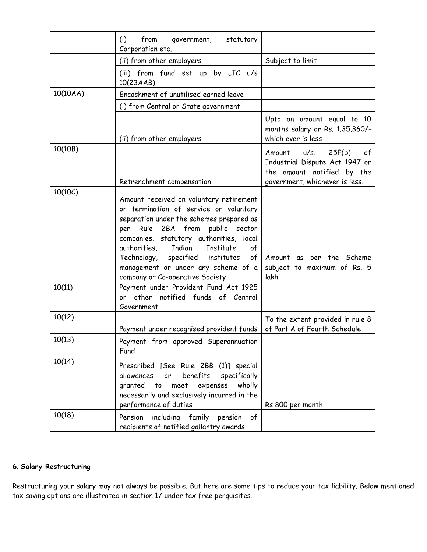|          | (i)<br>from<br>statutory<br>government,<br>Corporation etc.                                                                                                                                                                                                                                                                                               |                                                                                                                                    |
|----------|-----------------------------------------------------------------------------------------------------------------------------------------------------------------------------------------------------------------------------------------------------------------------------------------------------------------------------------------------------------|------------------------------------------------------------------------------------------------------------------------------------|
|          | (ii) from other employers                                                                                                                                                                                                                                                                                                                                 | Subject to limit                                                                                                                   |
|          | (iii) from fund set up by LIC u/s<br>10(23AAB)                                                                                                                                                                                                                                                                                                            |                                                                                                                                    |
| 10(10AA) | Encashment of unutilised earned leave                                                                                                                                                                                                                                                                                                                     |                                                                                                                                    |
|          | (i) from Central or State government                                                                                                                                                                                                                                                                                                                      |                                                                                                                                    |
|          | (ii) from other employers                                                                                                                                                                                                                                                                                                                                 | Upto an amount equal to 10<br>months salary or Rs. 1,35,360/-<br>which ever is less                                                |
| 10(10B)  | Retrenchment compensation                                                                                                                                                                                                                                                                                                                                 | u/s.<br>25F(b)<br>Amount<br>of -<br>Industrial Dispute Act 1947 or<br>the amount notified by the<br>government, whichever is less. |
| 10(10C)  | Amount received on voluntary retirement<br>or termination of service or voluntary<br>separation under the schemes prepared as<br>Rule 2BA from public sector<br>per<br>companies, statutory authorities, local<br>Indian<br>authorities,<br>Institute<br>of<br>Technology, specified institutes<br>of <sub>1</sub><br>management or under any scheme of a | Amount as per the Scheme<br>subject to maximum of Rs. 5                                                                            |
| 10(11)   | company or Co-operative Society<br>Payment under Provident Fund Act 1925<br>or other notified funds of Central<br>Government                                                                                                                                                                                                                              | lakh                                                                                                                               |
| 10(12)   | Payment under recognised provident funds                                                                                                                                                                                                                                                                                                                  | To the extent provided in rule 8<br>of Part A of Fourth Schedule                                                                   |
| 10(13)   | Payment from approved Superannuation<br>Fund                                                                                                                                                                                                                                                                                                              |                                                                                                                                    |
| 10(14)   | Prescribed [See Rule 2BB (1)] special<br>or benefits<br>allowances<br>specifically<br>granted to meet expenses<br>wholly<br>necessarily and exclusively incurred in the<br>performance of duties                                                                                                                                                          | Rs 800 per month.                                                                                                                  |
| 10(18)   | including family pension<br>Pension<br>of<br>recipients of notified gallantry awards                                                                                                                                                                                                                                                                      |                                                                                                                                    |

# 6. Salary Restructuring

Restructuring your salary may not always be possible. But here are some tips to reduce your tax liability. Below mentioned tax saving options are illustrated in section 17 under tax free perquisites.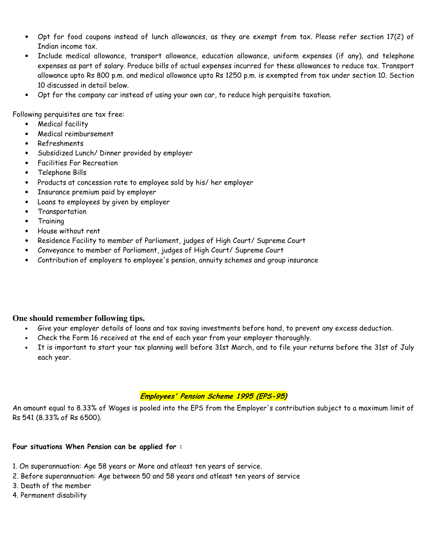- Opt for food coupons instead of lunch allowances, as they are exempt from tax. Please refer section 17(2) of Indian income tax.
- Include medical allowance, transport allowance, education allowance, uniform expenses (if any), and telephone expenses as part of salary. Produce bills of actual expenses incurred for these allowances to reduce tax. Transport allowance upto Rs 800 p.m. and medical allowance upto Rs 1250 p.m. is exempted from tax under section 10. Section 10 discussed in detail below.
- Opt for the company car instead of using your own car, to reduce high perquisite taxation.

Following perquisites are tax free:

- Medical facility
- Medical reimbursement
- Refreshments
- Subsidized Lunch/ Dinner provided by employer
- Facilities For Recreation
- Telephone Bills
- Products at concession rate to employee sold by his/ her employer
- Insurance premium paid by employer
- Loans to employees by given by employer
- Transportation
- **Training**
- House without rent
- Residence Facility to member of Parliament, judges of High Court/ Supreme Court
- Conveyance to member of Parliament, judges of High Court/ Supreme Court
- Contribution of employers to employee's pension, annuity schemes and group insurance

# **One should remember following tips.**

- Give your employer details of loans and tax saving investments before hand, to prevent any excess deduction.
- Check the Form 16 received at the end of each year from your employer thoroughly.
- It is important to start your tax planning well before 31st March, and to file your returns before the 31st of July each year.

# Employees' Pension Scheme 1995 (EPS-95)

An amount equal to 8.33% of Wages is pooled into the EPS from the Employer's contribution subject to a maximum limit of Rs 541 (8.33% of Rs 6500).

## Four situations When Pension can be applied for :

- 1. On superannuation: Age 58 years or More and atleast ten years of service.
- 2. Before superannuation: Age between 50 and 58 years and atleast ten years of service
- 3. Death of the member
- 4. Permanent disability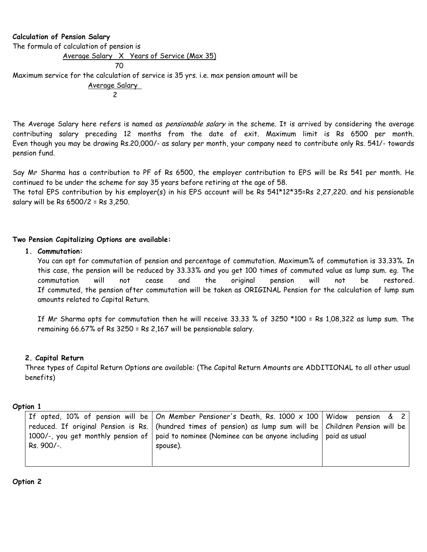## Calculation of Pension Salary

<u>2001 - Andre Stadt Stadt Stadt Stadt Stadt Stadt Stadt Stadt Stadt Stadt Stadt Stadt Stadt Stadt Stadt Stadt </u>

The formula of calculation of pension is

Average Salary X Years of Service (Max 35)

Maximum service for the calculation of service is 35 yrs. i.e. max pension amount will be

 Average Salary 2

The Average Salary here refers is named as *pensionable salary* in the scheme. It is arrived by considering the average contributing salary preceding 12 months from the date of exit. Maximum limit is Rs 6500 per month. Even though you may be drawing Rs.20,000/- as salary per month, your company need to contribute only Rs. 541/- towards pension fund.

Say Mr Sharma has a contribution to PF of Rs 6500, the employer contribution to EPS will be Rs 541 per month. He continued to be under the scheme for say 35 years before retiring at the age of 58.

The total EPS contribution by his employer(s) in his EPS account will be Rs 541\*12\*35=Rs 2,27,220. and his pensionable salary will be Rs 6500/2 = Rs 3,250.

## Two Pension Capitalizing Options are available:

## 1. Commutation:

You can opt for commutation of pension and percentage of commutation. Maximum% of commutation is 33.33%. In this case, the pension will be reduced by 33.33% and you get 100 times of commuted value as lump sum. eg. The commutation will not cease and the original pension will not be restored. If commuted, the pension after commutation will be taken as ORIGINAL Pension for the calculation of lump sum amounts related to Capital Return.

If Mr Sharma opts for commutation then he will receive 33.33 % of 3250 \*100 = Rs 1,08,322 as lump sum. The remaining 66.67% of Rs 3250 = Rs 2,167 will be pensionable salary.

## 2. Capital Return

Three types of Capital Return Options are available: (The Capital Return Amounts are ADDITIONAL to all other usual benefits)

## Option 1

|            | If opted, 10% of pension will be   On Member Pensioner's Death, Rs. 1000 $\times$ 100   Widow  pension  &  2    |  |
|------------|-----------------------------------------------------------------------------------------------------------------|--|
|            | reduced. If original Pension is Rs.   (hundred times of pension) as lump sum will be   Children Pension will be |  |
|            | 1000/-, you get monthly pension of   paid to nominee (Nominee can be anyone including   paid as usual           |  |
| Rs. 900/-. | spouse).                                                                                                        |  |
|            |                                                                                                                 |  |
|            |                                                                                                                 |  |

Option 2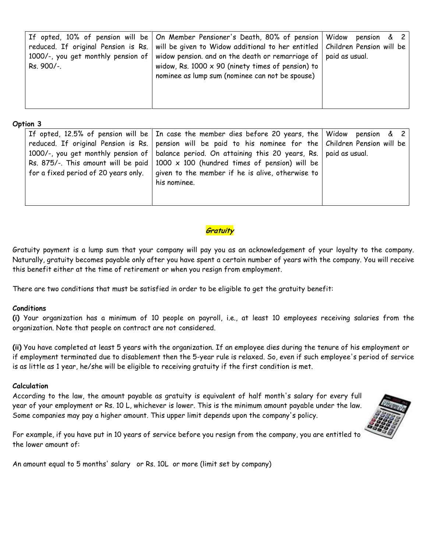|            | If opted, 10% of pension will be   On Member Pensioner's Death, 80% of pension   Widow                             | pension $\&$ 2 |
|------------|--------------------------------------------------------------------------------------------------------------------|----------------|
|            | reduced. If original Pension is Rs.   will be given to Widow additional to her entitled   Children Pension will be |                |
|            | 1000/-, you get monthly pension of   widow pension. and on the death or remarriage of   paid as usual.             |                |
| Rs. 900/-. | widow, Rs. $1000 \times 90$ (ninety times of pension) to                                                           |                |
|            | nominee as lump sum (nominee can not be spouse)                                                                    |                |
|            |                                                                                                                    |                |
|            |                                                                                                                    |                |
|            |                                                                                                                    |                |

#### Option 3

|                                      | If opted, 12.5% of pension will be $\vert$ In case the member dies before 20 years, the $\vert$ Widow pension & 2                                                                                                                                                                                                   |  |
|--------------------------------------|---------------------------------------------------------------------------------------------------------------------------------------------------------------------------------------------------------------------------------------------------------------------------------------------------------------------|--|
|                                      | reduced. If original Pension is Rs.   pension will be paid to his nominee for the   Children Pension will be<br>1000/-, you get monthly pension of   balance period. On attaining this 20 years, Rs.   paid as usual.<br>Rs. 875/-. This amount will be paid   1000 $\times$ 100 (hundred times of pension) will be |  |
| for a fixed period of 20 years only. | given to the member if he is alive, otherwise to<br>his nominee.                                                                                                                                                                                                                                                    |  |

# **Gratuity**

Gratuity payment is a lump sum that your company will pay you as an acknowledgement of your loyalty to the company. Naturally, gratuity becomes payable only after you have spent a certain number of years with the company. You will receive this benefit either at the time of retirement or when you resign from employment.

There are two conditions that must be satisfied in order to be eligible to get the gratuity benefit:

# Conditions

(i) Your organization has a minimum of 10 people on payroll, i.e., at least 10 employees receiving salaries from the organization. Note that people on contract are not considered.

(ii) You have completed at least 5 years with the organization. If an employee dies during the tenure of his employment or if employment terminated due to disablement then the 5-year rule is relaxed. So, even if such employee's period of service is as little as 1 year, he/she will be eligible to receiving gratuity if the first condition is met.

## Calculation

According to the law, the amount payable as gratuity is equivalent of half month's salary for every full year of your employment or Rs. 10 L, whichever is lower. This is the minimum amount payable under the law. Some companies may pay a higher amount. This upper limit depends upon the company's policy.



For example, if you have put in 10 years of service before you resign from the company, you are entitled to the lower amount of:

An amount equal to 5 months' salary or Rs. 10L or more (limit set by company)